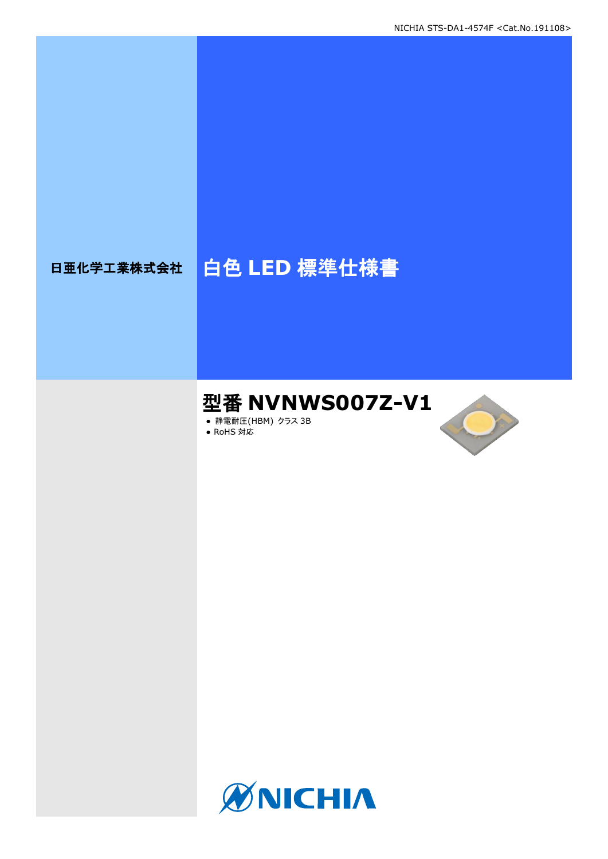# 日亜化学工業株式会社 | 白色 LED 標準仕様書

# 型番 **NVNWS007Z-V1**

**● 静電耐圧(HBM) クラス 3B** ● RoHS 対応

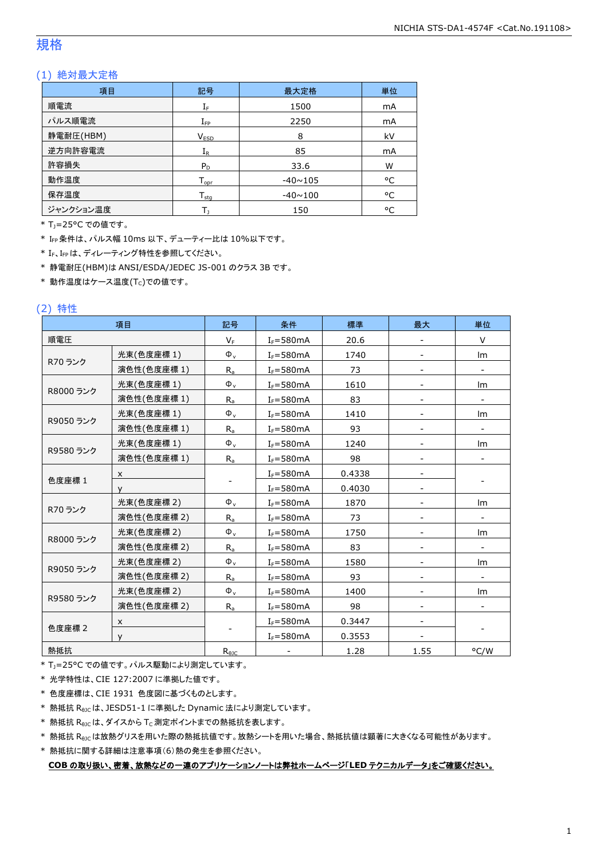#### 規格

#### (1) 絶対最大定格

| 項目        | 記号                 | 最大定格           | 単位 |
|-----------|--------------------|----------------|----|
| 順電流       | $I_F$              | 1500           | mA |
| パルス順電流    | $I_{\mathsf{FP}}$  | 2250           | mA |
| 静電耐圧(HBM) | V <sub>ESD</sub>   | 8              | kV |
| 逆方向許容電流   | $I_{R}$            | 85             | mA |
| 許容損失      | $P_D$              | 33.6           | W  |
| 動作温度      | $T_{\mathsf{oor}}$ | $-40 \sim 105$ | °C |
| 保存温度      | $T_{\rm stq}$      | $-40 \sim 100$ | °C |
| ジャンクション温度 |                    | 150            | ۰c |

\* TJ=25°C での値です。

\* IFP条件は、パルス幅 10ms 以下、デューティー比は 10%以下です。

\* IF、IFpは、ディレーティング特性を参照してください。

\* 静電耐圧(HBM)は ANSI/ESDA/JEDEC JS-001 のクラス 3B です。

 $*$ 動作温度はケース温度(Tc)での値です。

#### (2) 特性

|           | 項目          | 記号             | 条件            | 標準     | 最大   | 単位                       |
|-----------|-------------|----------------|---------------|--------|------|--------------------------|
| 順電圧       |             | $V_F$          | $I_F = 580mA$ | 20.6   |      | V                        |
|           | 光束(色度座標 1)  | $\Phi_{\rm v}$ | $I_F = 580mA$ | 1740   |      | lm                       |
| R70 ランク   | 演色性(色度座標1)  | $R_{a}$        | $I_F = 580mA$ | 73     |      |                          |
|           | 光束(色度座標1)   | $\Phi_{\rm v}$ | $I_F = 580mA$ | 1610   |      | lm                       |
| R8000 ランク | 演色性(色度座標 1) | $R_{a}$        | $I_F = 580mA$ | 83     |      | $\overline{\phantom{a}}$ |
|           | 光束(色度座標1)   | $\Phi_{\rm v}$ | $I_F = 580mA$ | 1410   |      | Im                       |
| R9050 ランク | 演色性(色度座標 1) | $R_{a}$        | $I_F = 580mA$ | 93     |      |                          |
|           | 光束(色度座標1)   | $\Phi_{\rm v}$ | $I_F = 580mA$ | 1240   |      | Im                       |
| R9580 ランク | 演色性(色度座標 1) | $R_{a}$        | $I_F = 580mA$ | 98     |      |                          |
|           | X           |                | $I_F = 580mA$ | 0.4338 |      |                          |
| 色度座標 1    | v           |                | $I_F = 580mA$ | 0.4030 |      |                          |
|           | 光束(色度座標 2)  | $\Phi_{\rm v}$ | $I_F = 580mA$ | 1870   |      | lm                       |
| R70 ランク   | 演色性(色度座標 2) | $R_{a}$        | $I_F = 580mA$ | 73     |      |                          |
|           | 光束(色度座標2)   | $\Phi_{\rm v}$ | $I_F = 580mA$ | 1750   |      | Im                       |
| R8000 ランク | 演色性(色度座標 2) | $R_{a}$        | $I_F = 580mA$ | 83     |      |                          |
|           | 光束(色度座標 2)  | $\Phi_{\rm v}$ | $I_F = 580mA$ | 1580   |      | Im                       |
| R9050 ランク | 演色性(色度座標 2) | $R_{a}$        | $I_F = 580mA$ | 93     |      |                          |
|           | 光束(色度座標2)   | $\Phi_{v}$     | $I_F = 580mA$ | 1400   |      | Im                       |
| R9580 ランク | 演色性(色度座標 2) | $R_{a}$        | $I_F = 580mA$ | 98     |      |                          |
|           | X           |                | $I_F = 580mA$ | 0.3447 |      |                          |
| 色度座標 2    | $\vee$      |                | $I_F = 580mA$ | 0.3553 |      |                          |
| 熱抵抗       |             | $R_{\theta$ JC |               | 1.28   | 1.55 | °C/W                     |

\* T<sub>J</sub>=25°C での値です。パルス駆動により測定しています。

\* 光学特性は、CIE 127:2007 に準拠した値です。

\* 色度座標は、CIE 1931 色度図に基づくものとします。

\* 熱抵抗 RθJCは、JESD51-1 に準拠した Dynamic 法により測定しています。

 $*$  熱抵抗  $R_{\theta$ JC は、ダイスから Tc 測定ポイントまでの熱抵抗を表します。

\* 熱抵抗 R<sub>0JC</sub>は放熱グリスを用いた際の熱抵抗値です。放熱シートを用いた場合、熱抵抗値は顕著に大きくなる可能性があります。

\* 熱抵抗に関する詳細は注意事項(6)熱の発生を参照ください。

**COB** の取り扱い、密着、放熱などの一連のアプリケーションノートは弊社ホームページ「**LED** テクニカルデータ」をご確認ください。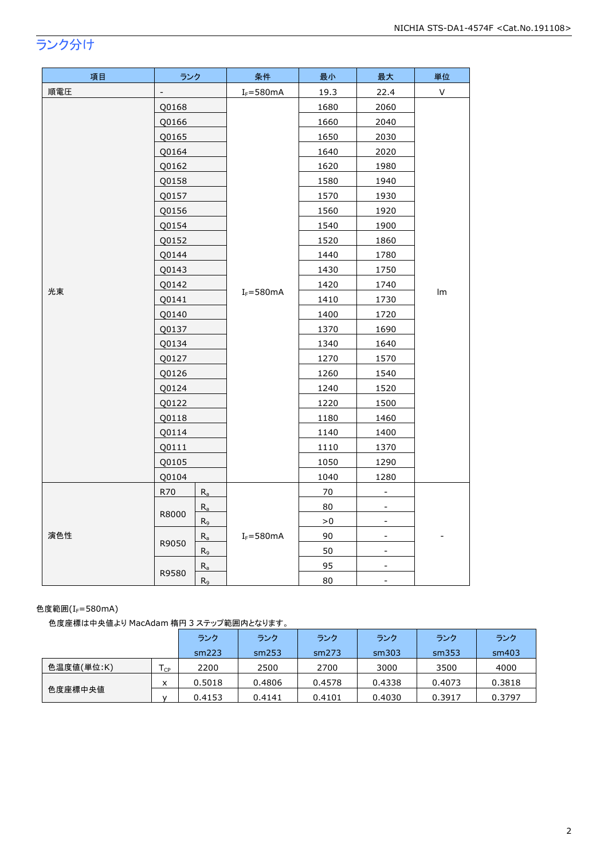## ランク分け

| 項目  | ランク            |         | 条件            | 最小   | 最大                           | 単位           |
|-----|----------------|---------|---------------|------|------------------------------|--------------|
| 順電圧 | $\overline{a}$ |         | $I_F = 580mA$ | 19.3 | 22.4                         | $\mathsf{V}$ |
|     | Q0168          |         |               | 1680 | 2060                         |              |
|     | Q0166          |         |               | 1660 | 2040                         |              |
|     | Q0165          |         |               | 1650 | 2030                         |              |
|     | Q0164          |         |               | 1640 | 2020                         |              |
|     | Q0162          |         |               | 1620 | 1980                         |              |
|     | Q0158          |         |               | 1580 | 1940                         |              |
|     | Q0157          |         |               | 1570 | 1930                         |              |
|     | Q0156          |         |               | 1560 | 1920                         |              |
|     | Q0154          |         |               | 1540 | 1900                         |              |
|     | Q0152          |         |               | 1520 | 1860                         |              |
|     | Q0144          |         |               | 1440 | 1780                         |              |
| 光束  | Q0143          |         |               | 1430 | 1750                         | Im           |
|     | Q0142          |         | $I_F = 580mA$ | 1420 | 1740                         |              |
|     | Q0141          |         |               | 1410 | 1730                         |              |
|     | Q0140          |         |               | 1400 | 1720                         |              |
|     | Q0137          |         |               | 1370 | 1690                         |              |
|     | Q0134          |         |               | 1340 | 1640                         |              |
|     | Q0127          |         |               | 1270 | 1570                         |              |
|     | Q0126          |         |               | 1260 | 1540                         |              |
|     | Q0124          |         |               | 1240 | 1520                         |              |
|     | Q0122          |         |               | 1220 | 1500                         |              |
|     | Q0118          |         |               | 1180 | 1460                         |              |
|     | Q0114          |         |               | 1140 | 1400                         |              |
|     | Q0111          |         |               | 1110 | 1370                         |              |
|     | Q0105          |         |               | 1050 | 1290                         |              |
|     | Q0104          |         |               | 1040 | 1280                         |              |
|     | R70            | $R_a$   |               | 70   |                              |              |
|     | R8000          | $R_{a}$ |               | 80   | -                            |              |
|     |                | $R_9$   |               | >0   | $\overline{\phantom{a}}$     |              |
| 演色性 | R9050          | $R_{a}$ | $I_F = 580mA$ | 90   | $\qquad \qquad \blacksquare$ |              |
|     |                | $R_9$   |               | 50   | $\blacksquare$               |              |
|     | R9580          | $R_a$   |               | 95   | -                            |              |
|     |                | $R_9$   |               | 80   | $\qquad \qquad \blacksquare$ |              |

#### 色度範囲(IF=580mA)

色度座標は中央値より MacAdam 楕円 3 ステップ範囲内となります。

|            |     | ランク    | ランク    | ランク    | ランク    | ランク    | ランク    |
|------------|-----|--------|--------|--------|--------|--------|--------|
|            |     | sm223  | sm253  | sm273  | sm303  | sm353  | sm403  |
| 色温度値(単位:K) | ICP | 2200   | 2500   | 2700   | 3000   | 3500   | 4000   |
|            | x   | 0.5018 | 0.4806 | 0.4578 | 0.4338 | 0.4073 | 0.3818 |
| 色度座標中央値    |     | 0.4153 | 0.4141 | 0.4101 | 0.4030 | 0.3917 | 0.3797 |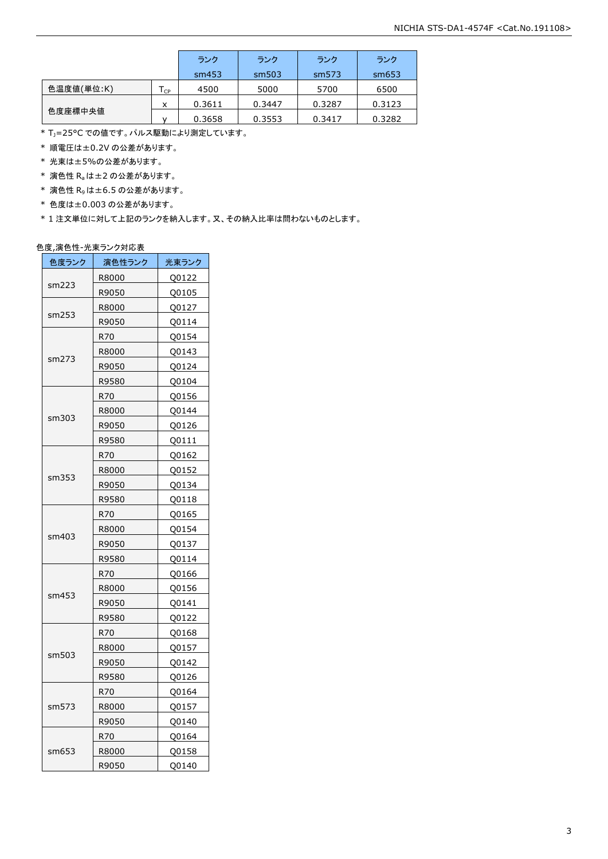|            |                            | ランク    | ランク    | ランク    | ランク    |
|------------|----------------------------|--------|--------|--------|--------|
|            |                            | sm453  | sm503  | sm573  | sm653  |
| 色温度値(単位:K) | $\mathsf{T}_{\mathsf{CP}}$ | 4500   | 5000   | 5700   | 6500   |
|            | x                          | 0.3611 | 0.3447 | 0.3287 | 0.3123 |
| 色度座標中央値    |                            | 0.3658 | 0.3553 | 0.3417 | 0.3282 |

 $*$  T<sub>J</sub>=25°C での値です。パルス駆動により測定しています。

\* 順電圧は±0.2V の公差があります。

\* 光束は±5%の公差があります。

 $*$  演色性  $R_a$ は±2の公差があります。

- \* 演色性 R9は±6.5 の公差があります。
- \* 色度は±0.003 の公差があります。

\* 1 注文単位に対して上記のランクを納入します。又、その納入比率は問わないものとします。

#### 色度,演色性-光束ランク対応表

| 色度ランク | 演色性ランク | 光束ランク |
|-------|--------|-------|
|       | R8000  | Q0122 |
| sm223 | R9050  | Q0105 |
|       | R8000  | Q0127 |
| sm253 | R9050  | Q0114 |
|       | R70    | Q0154 |
|       | R8000  | Q0143 |
| sm273 | R9050  | Q0124 |
|       | R9580  | Q0104 |
|       | R70    | Q0156 |
|       | R8000  | Q0144 |
| sm303 | R9050  | Q0126 |
|       | R9580  | Q0111 |
|       | R70    | Q0162 |
|       | R8000  | Q0152 |
| sm353 | R9050  | Q0134 |
|       | R9580  | Q0118 |
|       | R70    | Q0165 |
| sm403 | R8000  | Q0154 |
|       | R9050  | Q0137 |
|       | R9580  | Q0114 |
|       | R70    | Q0166 |
|       | R8000  | Q0156 |
| sm453 | R9050  | Q0141 |
|       | R9580  | Q0122 |
|       | R70    | Q0168 |
|       | R8000  | Q0157 |
| sm503 | R9050  | Q0142 |
|       | R9580  | Q0126 |
|       | R70    | Q0164 |
| sm573 | R8000  | Q0157 |
|       | R9050  | Q0140 |
|       | R70    | Q0164 |
| sm653 | R8000  | Q0158 |
|       | R9050  | Q0140 |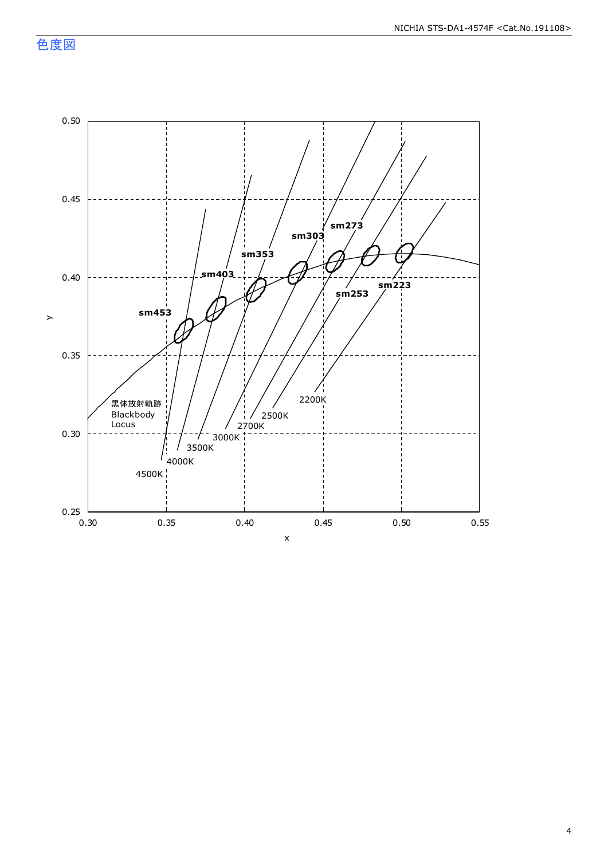色度図

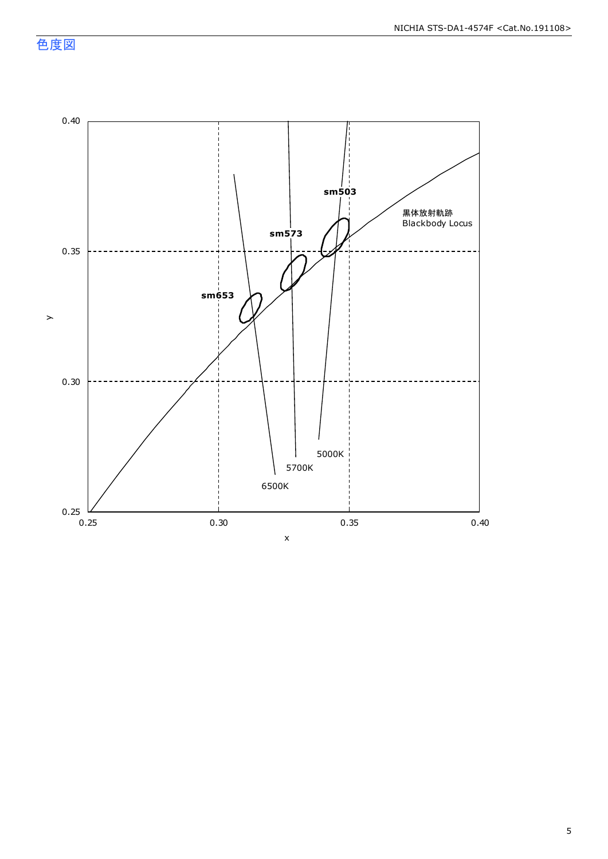色度図

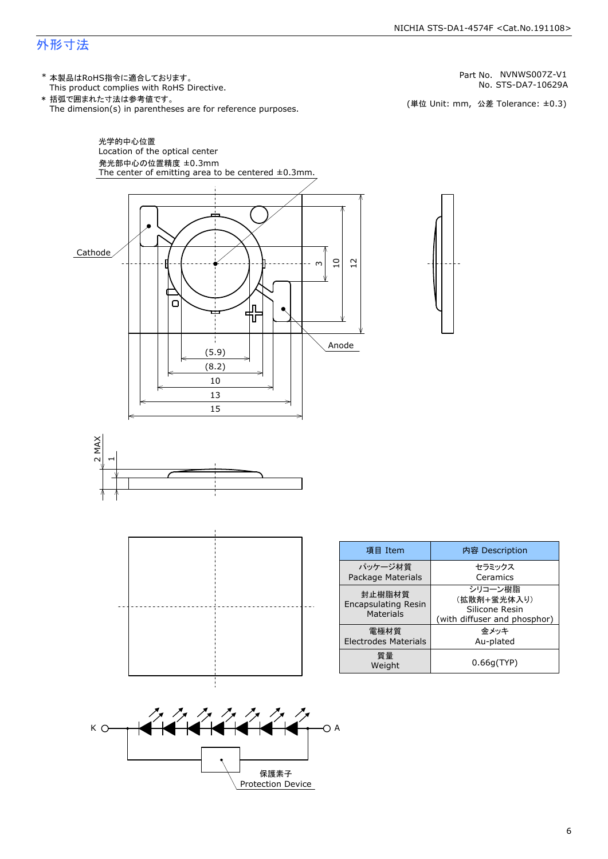## 外形寸法

(単位 Unit: mm) This product complies with RoHS Directive. \* 本製品はRoHS指令に適合しております。 (単位 Unit: mm, 公差 Tolerance: ±0.3) STS-DA7-10629A NVNWS007Z-V1 The dimension(s) in parentheses are for reference purposes. \* 括弧で囲まれた寸法は参考値です。 No. Part No.

セラミックス Ceramics

金メッキ

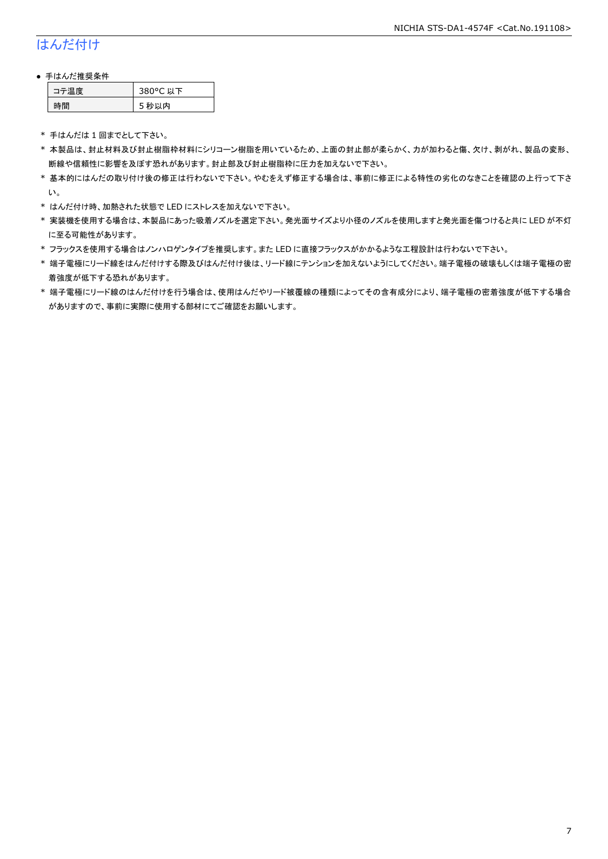## はんだ付け

#### ● 手はんだ推奨条件

| テ温度 | 380°C 以下 |
|-----|----------|
| .間  | 5 秒以内    |

\* 手はんだは 1 回までとして下さい。

- \* 本製品は、封止材料及び封止樹脂枠材料にシリコーン樹脂を用いているため、上面の封止部が柔らかく、力が加わると傷、欠け、剥がれ、製品の変形、 断線や信頼性に影響を及ぼす恐れがあります。封止部及び封止樹脂枠に圧力を加えないで下さい。
- \* 基本的にはんだの取り付け後の修正は行わないで下さい。やむをえず修正する場合は、事前に修正による特性の劣化のなきことを確認の上行って下さ い。
- \* はんだ付け時、加熱された状態で LED にストレスを加えないで下さい。
- \* 実装機を使用する場合は、本製品にあった吸着ノズルを選定下さい。発光面サイズより小径のノズルを使用しますと発光面を傷つけると共に LED が不灯 に至る可能性があります。
- \* フラックスを使用する場合はノンハロゲンタイプを推奨します。また LED に直接フラックスがかかるような工程設計は行わないで下さい。
- \* 端子電極にリード線をはんだ付けする際及びはんだ付け後は、リード線にテンションを加えないようにしてください。端子電極の破壊もしくは端子電極の密 着強度が低下する恐れがあります。
- \* 端子電極にリード線のはんだ付けを行う場合は、使用はんだやリード被覆線の種類によってその含有成分により、端子電極の密着強度が低下する場合 がありますので、事前に実際に使用する部材にてご確認をお願いします。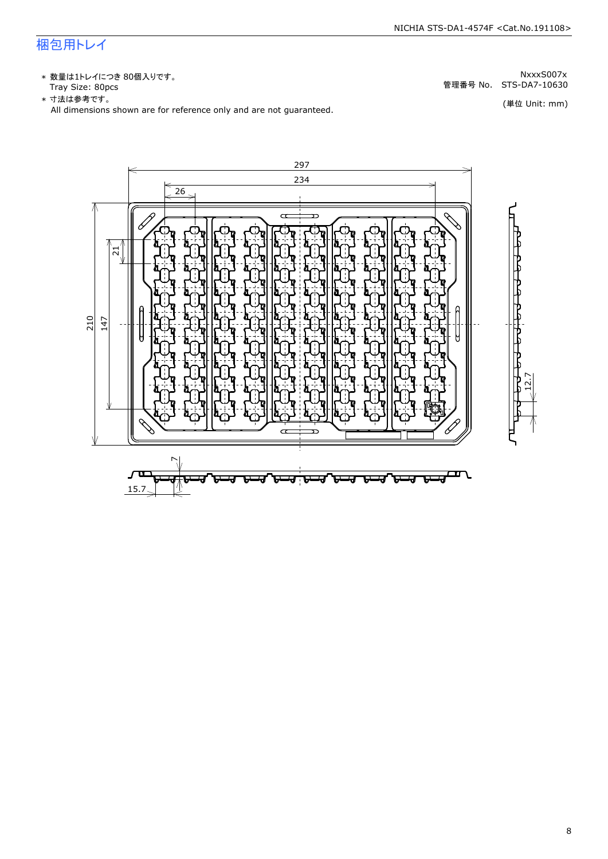## 梱包用トレイ

\* 数量は1トレイにつき 80個入りです。<br>Tray Size: 80pcs

\* 数量は1トレイにつき 80個入りです。<br>Tray Size: 80pcs<br>\* 寸法は参考です。<br>All dimensions shown are for reference only and are not guaranteed. \* づ法は参考です。 (単位 Unit: mm)

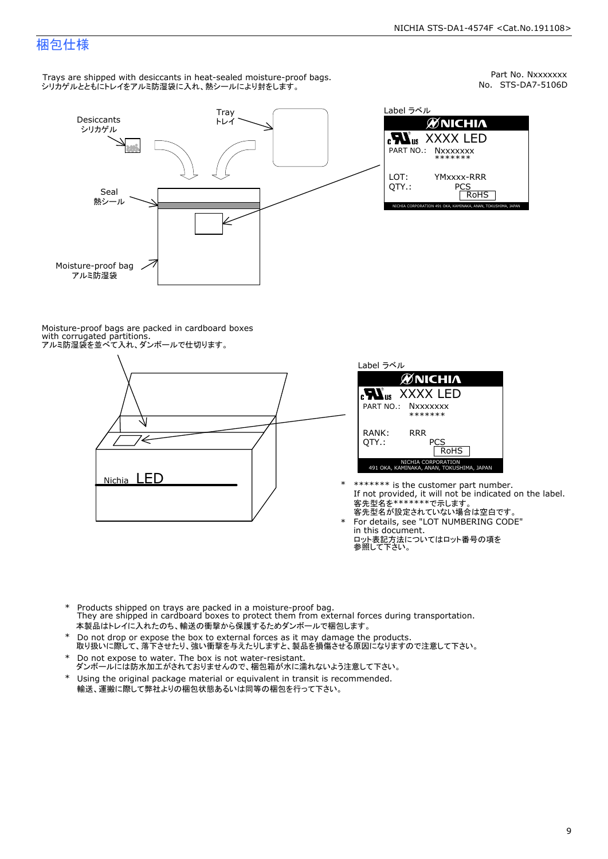## 梱包仕様

Trays are shipped with desiccants in heat-sealed moisture-proof bags. シリカゲルとともにトレイをアルミ防湿袋に入れ、熱シールにより封をします。



Part No. Nxxxxxxx<br>No. STS-DA7-5106D



Moisture-proof bags are packed in cardboard boxes with corrugated partitions. アルミ防湿袋を並べて入れ、ダンボールで仕切ります。





- \* \*\*\*\*\*\*\* is the customer part number.<br>If not provided, it will not be indicated on the label.<br>客先型名が設定されていない場合は空白です。
- For details, see "LOT NUMBERING CODE"<br>in this document.<br>ロット表記方法についてはロット番号の項を<br>参照して下さい。
- \* Products shipped on trays are packed in a moisture-proof bag.<br>They are shipped in cardboard boxes to protect them from external forces du<br>本製品はトレイに入れたのち、輸送の衝撃から保護するためダンボールで梱包します。<br>\* Do not drop or expose the box to exter Products shipped on trays are packed in a moisture-proof bag. They are shipped in cardboard boxes to protect them from external forces during transportation. 本製品はトレイに入れたのち、輸送の衝撃から保護するためダンボールで梱包します。
- Do not drop or expose the box to external forces as it may damage the products. \*
- 取り扱いに際して、落下させたり、強い衝撃を与えたりしますと、製品を損傷させる原因になりますので注意して下さい。 Do not expose to water. The box is not water-resistant. \*
- ダンボールには防水加工がされておりませんので、梱包箱が水に濡れないよう注意して下さい。 \*
- 輸送、運搬に際して弊社よりの梱包状態あるいは同等の梱包を行って下さい。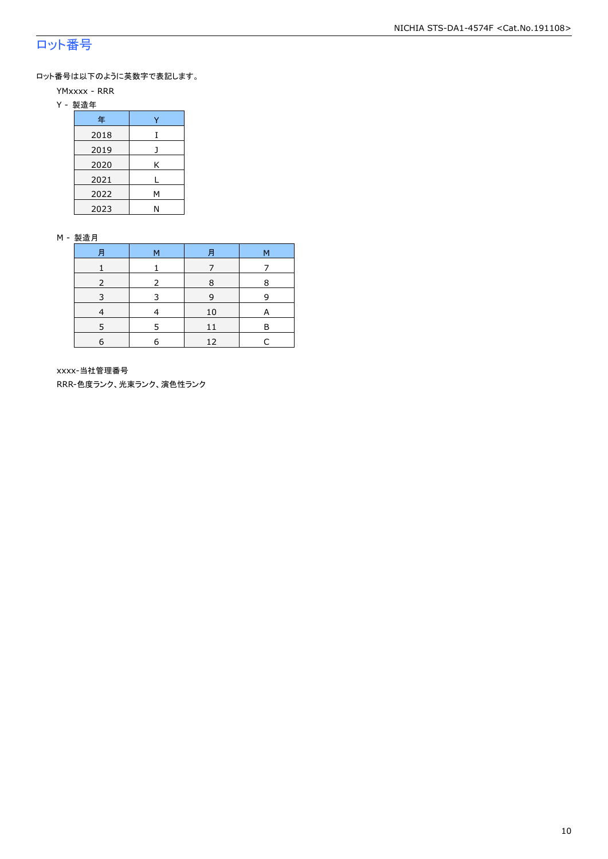## ロット番号

ロット番号は以下のように英数字で表記します。

- YMxxxx RRR
- Y 製造年

| 年    |   |
|------|---|
| 2018 | T |
| 2019 |   |
| 2020 | Κ |
| 2021 |   |
| 2022 | М |
| 2023 | N |

#### M - 製造月

| 月          | M | 月  | м |
|------------|---|----|---|
|            |   |    |   |
|            |   | 8  | я |
|            |   | q  | q |
|            |   | 10 | Α |
|            | 5 | 11 | R |
| $\epsilon$ | 6 | 12 |   |

xxxx-当社管理番号

RRR-色度ランク、光束ランク、演色性ランク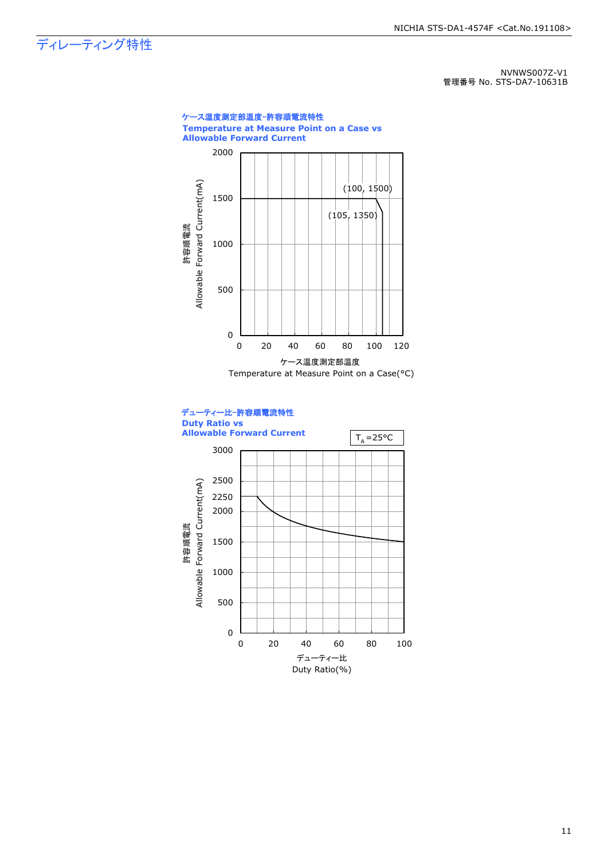## ディレーティング特性

NVNWS007Z-V1 管理番号 No. STS-DA7-10631B





11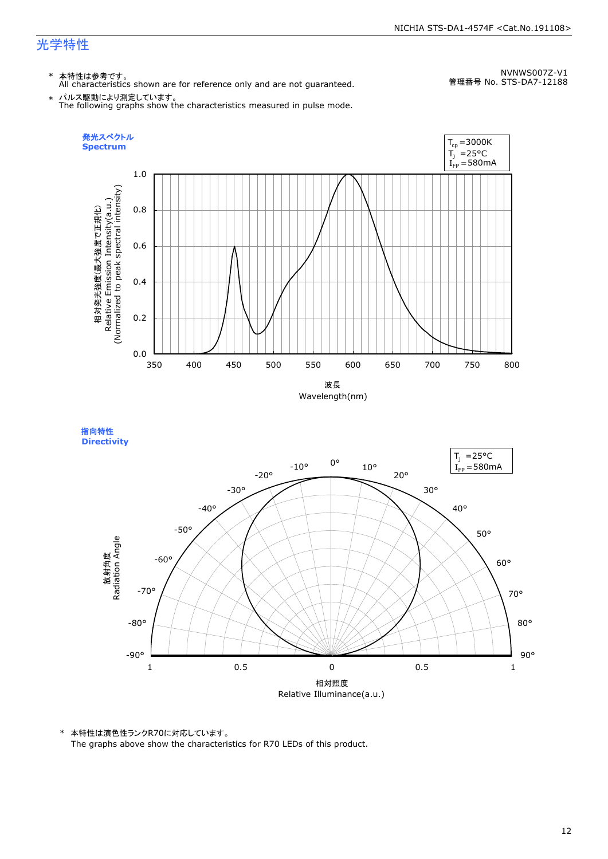指向特性

\* 本特性は参考です。 All characteristics shown are for reference only and are not guaranteed.

NVNWS007Z-V1 管理番号 No. STS-DA7-12188

\* パルス駆動により測定しています。 The following graphs show the characteristics measured in pulse mode.



相対照度 Relative Illuminance(a.u.) 90° 80° 70° 60° 50° 40° 30° 20° 10° 0°  $-10$ ° -20° -30° -40° -50° -60° -70° -80° -90° **Directivity** 放射角度<br>Radiation Angle 1 0.5 0 0.5 1  $I_{FP} = 580$ mA  $T_1$  = 25°C

\* 本特性は演色性ランクR70に対応しています。

The graphs above show the characteristics for R70 LEDs of this product.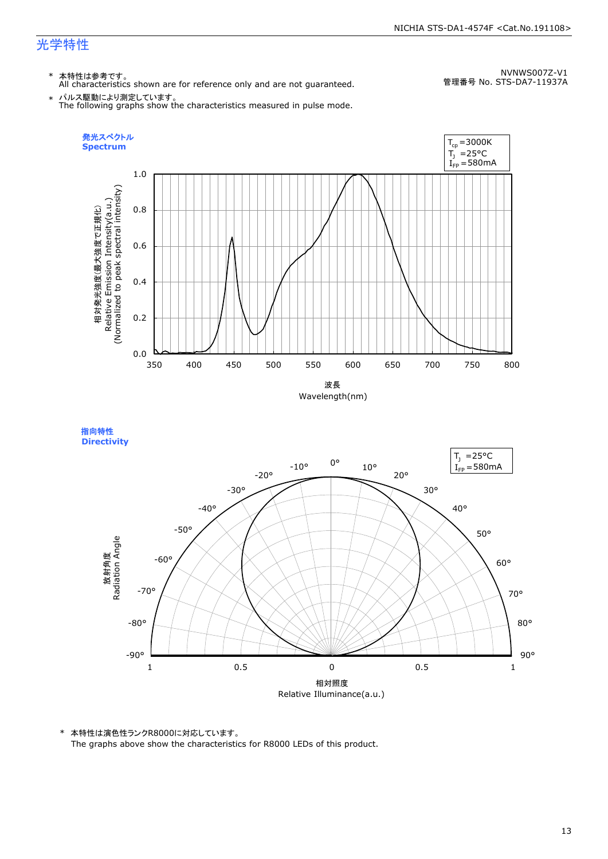指向特性 **Directivity** 

\* 本特性は参考です。 All characteristics shown are for reference only and are not guaranteed.

NVNWS007Z-V1 管理番号 No. STS-DA7-11937A

\* パルス駆動により測定しています。 The following graphs show the characteristics measured in pulse mode.



相対照度 Relative Illuminance(a.u.) 90° 80° 70° 60° 50° 40° 30° 20° 10° 0°  $-10$ ° -20° -30° -40° -50° -60° -70° -80° -90° 放射角度<br>Radiation Angle 1 0.5 0 0.5 1  $I_{FP} = 580$ mA  $T_1$  = 25°C

\* 本特性は演色性ランクR8000に対応しています。 The graphs above show the characteristics for R8000 LEDs of this product.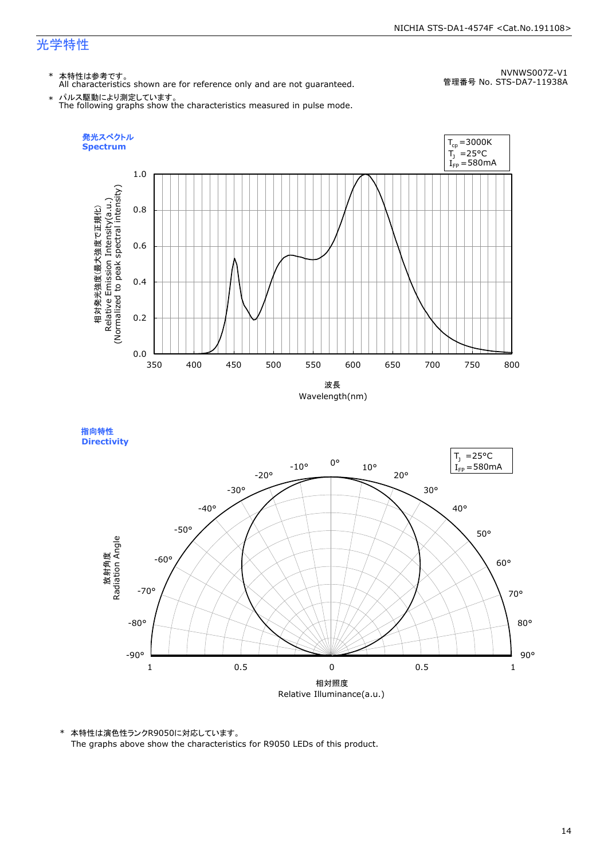\* 本特性は参考です。 All characteristics shown are for reference only and are not guaranteed.

NVNWS007Z-V1 管理番号 No. STS-DA7-11938A

\* パルス駆動により測定しています。 The following graphs show the characteristics measured in pulse mode.





\* 本特性は演色性ランクR9050に対応しています。 The graphs above show the characteristics for R9050 LEDs of this product.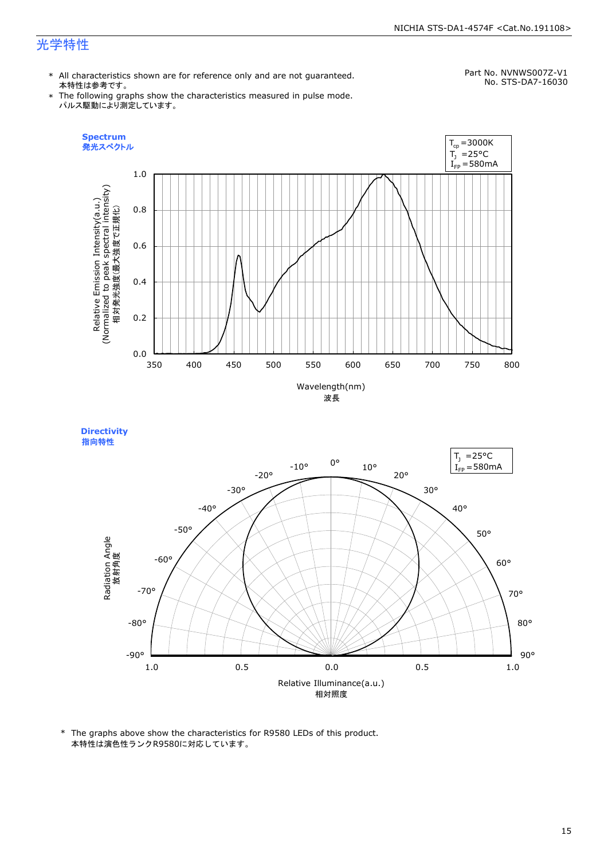#### NICHIA STS-DA1-4574F <Cat.No.191108>

## 光学特性

\* All characteristics shown are for reference only and are not guaranteed. 本特性は参考です。

#### Part No. NVNWS007Z-V1 No. STS-DA7-16030

- \* The following graphs show the characteristics measured in pulse mode. パルス駆動により測定しています。
	- **Spectrum**  $T_{cp} = 3000K$ 発光スペクトル  $T_1$  = 25°C  $I_{FP} = 580$ mA 1.0 Relative Emission Intensity(a.u.)<br>(Normalized to peak spectral intensity)<br>相対発光強度(最大強度で正規化) (Normalized to peak spectral intensity) Relative Emission Intensity(a.u.) 0.8 相対発光強度(最大強度で正規化) 0.6 0.4 0.2 0.0 350 400 450 500 550 600 650 700 750 800



**Directivity**  指向特性



\* The graphs above show the characteristics for R9580 LEDs of this product. 本特性は演色性ランクR9580に対応しています。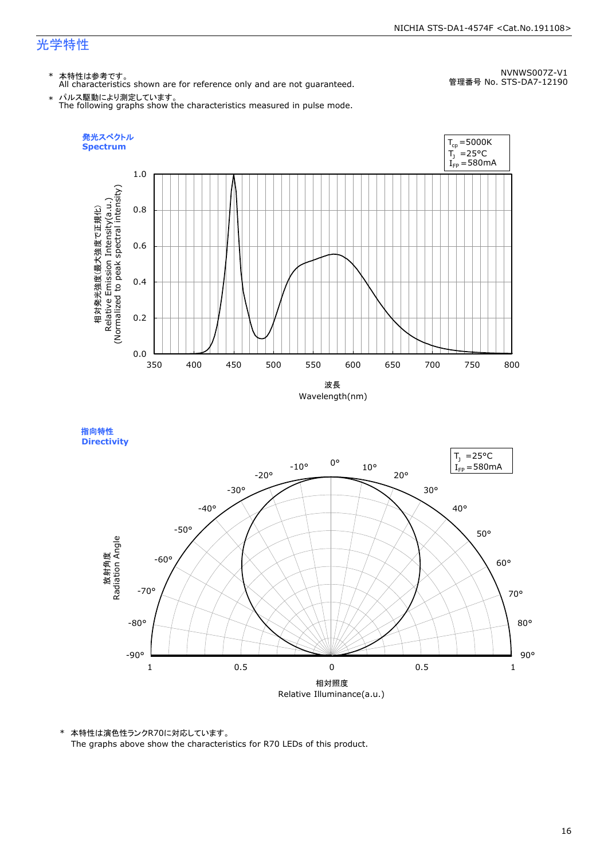\* 本特性は参考です。 All characteristics shown are for reference only and are not guaranteed.

NVNWS007Z-V1 管理番号 No. STS-DA7-12190

\* パルス駆動により測定しています。 The following graphs show the characteristics measured in pulse mode.





\* 本特性は演色性ランクR70に対応しています。

The graphs above show the characteristics for R70 LEDs of this product.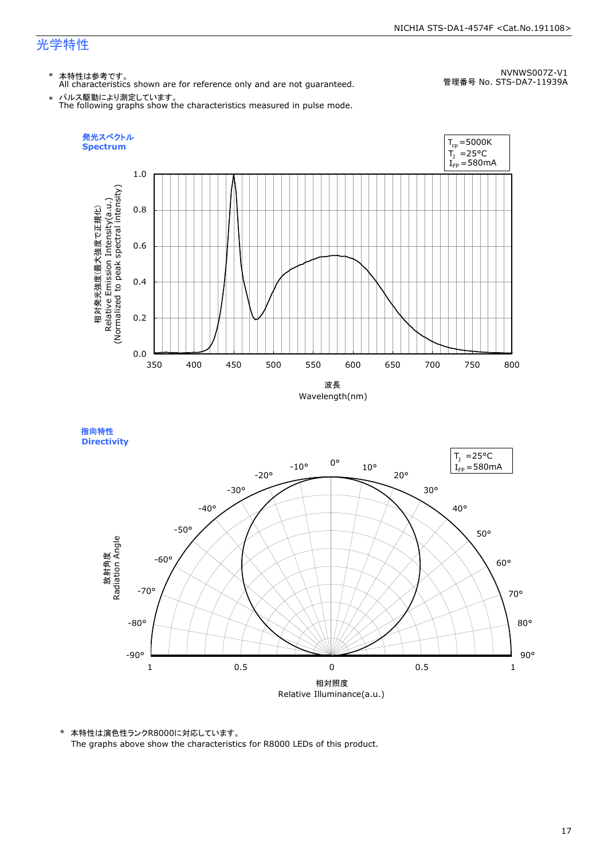指向特性 **Directivity** 

\* 本特性は参考です。 All characteristics shown are for reference only and are not guaranteed.

NVNWS007Z-V1 管理番号 No. STS-DA7-11939A

\* パルス駆動により測定しています。 The following graphs show the characteristics measured in pulse mode.



-30° -40° -50°



\* 本特性は演色性ランクR8000に対応しています。 The graphs above show the characteristics for R8000 LEDs of this product.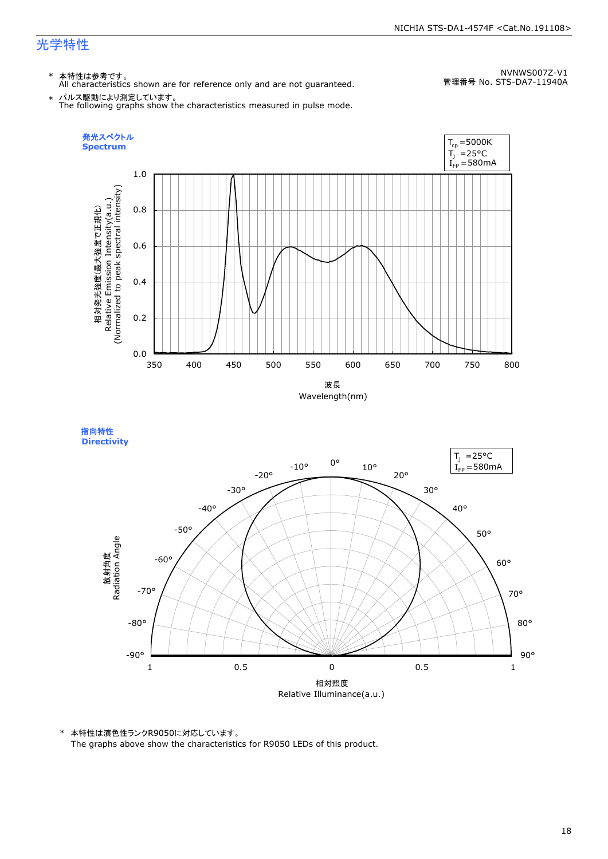\* 本特性は参考です。 All characteristics shown are for reference only and are not guaranteed.

NVNWS007Z-V1 管理番号 No. STS-DA7-11940A

\* パルス駆動により測定しています。 The following graphs show the characteristics measured in pulse mode.





\* 本特性は演色性ランクR9050に対応しています。 The graphs above show the characteristics for R9050 LEDs of this product.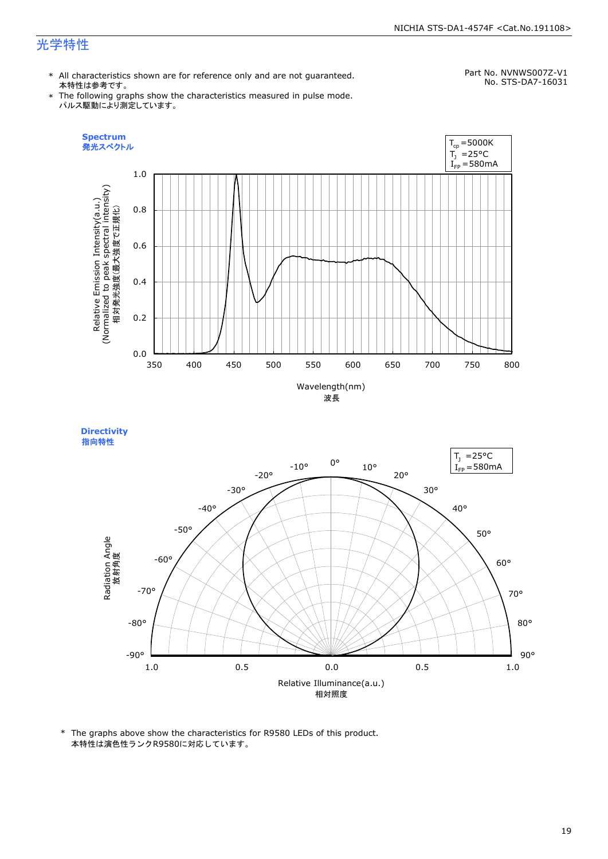#### NICHIA STS-DA1-4574F <Cat.No.191108>

## 光学特性

\* All characteristics shown are for reference only and are not guaranteed. 本特性は参考です。

Part No. NVNWS007Z-V1 No. STS-DA7-16031

\* The following graphs show the characteristics measured in pulse mode. パルス駆動により測定しています。







\* The graphs above show the characteristics for R9580 LEDs of this product. 本特性は演色性ランクR9580に対応しています。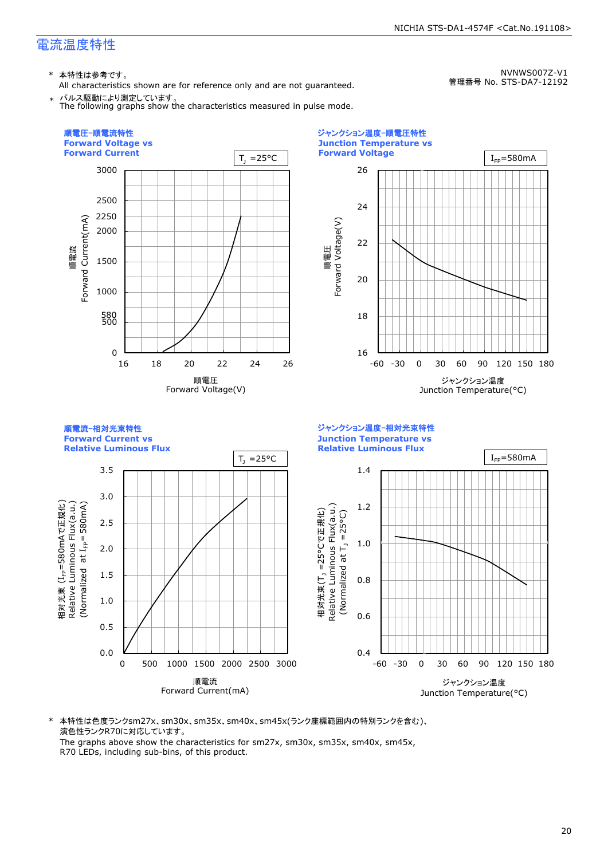\* 本特性は参考です。

All characteristics shown are for reference only and are not guaranteed. パルス駆動により測定しています。

The following graphs show the characteristics measured in pulse mode.

NVNWS007Z-V1 管理番号 No. STS-DA7-12192



\* 本特性は色度ランクsm27x、sm30x、sm35x、sm40x、sm45x(ランク座標範囲内の特別ランクを含む)、 演色性ランクR70に対応しています。

The graphs above show the characteristics for sm27x, sm30x, sm35x, sm40x, sm45x, R70 LEDs, including sub-bins, of this product.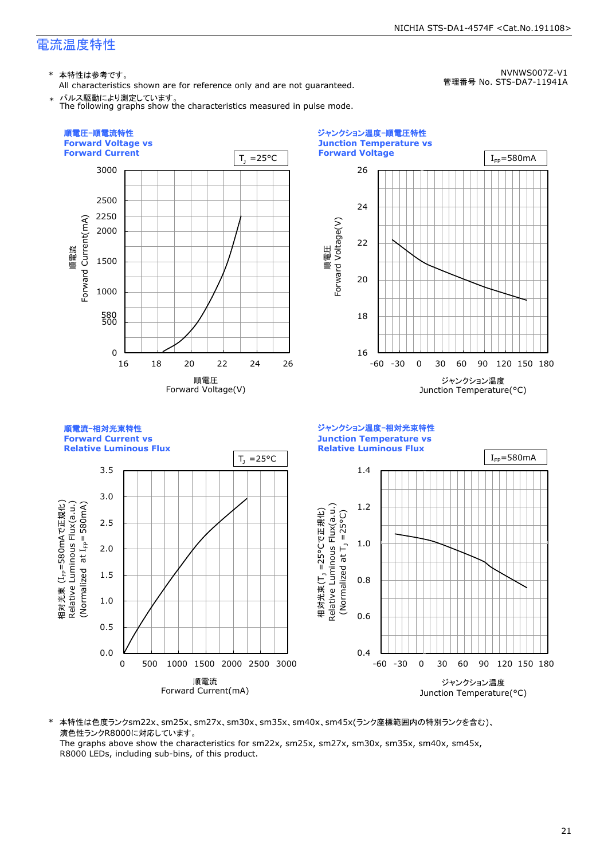\* 本特性は参考です。

All characteristics shown are for reference only and are not guaranteed. パルス駆動により測定しています。

NVNWS007Z-V1 管理番号 No. STS-DA7-11941A



\* 本特性は色度ランクsm22x、sm25x、sm27x、sm30x、sm35x、sm40x、sm45x(ランク座標範囲内の特別ランクを含む)、 演色性ランクR8000に対応しています。

The graphs above show the characteristics for sm22x, sm25x, sm27x, sm30x, sm35x, sm40x, sm45x, R8000 LEDs, including sub-bins, of this product.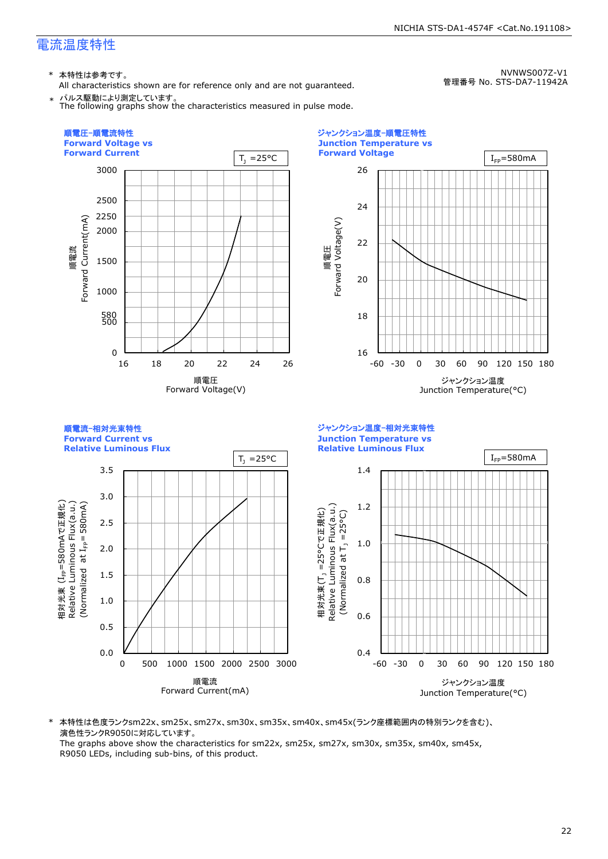\* 本特性は参考です。

All characteristics shown are for reference only and are not guaranteed. パルス駆動により測定しています。

NVNWS007Z-V1 管理番号 No. STS-DA7-11942A



\* 本特性は色度ランクsm22x、sm25x、sm27x、sm30x、sm35x、sm40x、sm45x(ランク座標範囲内の特別ランクを含む)、 演色性ランクR9050に対応しています。

The graphs above show the characteristics for sm22x, sm25x, sm27x, sm30x, sm35x, sm40x, sm45x, R9050 LEDs, including sub-bins, of this product.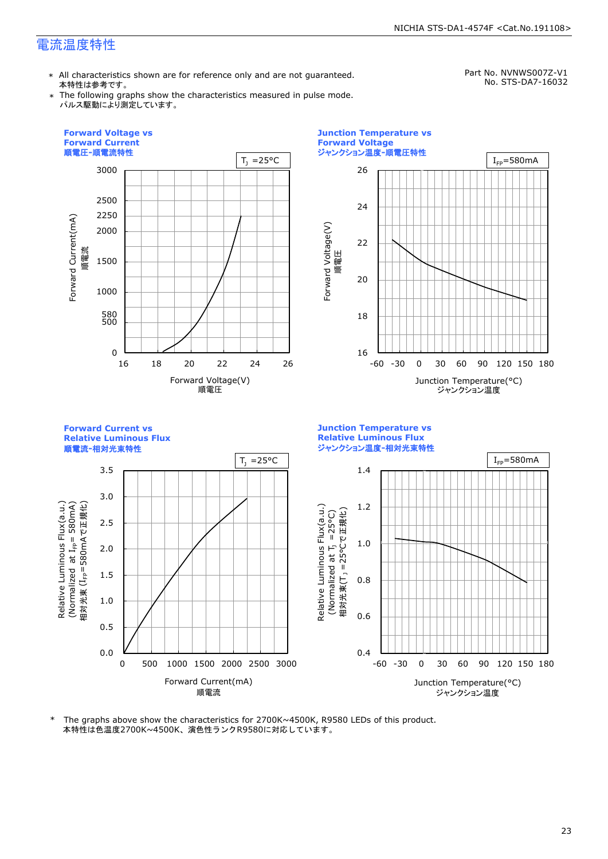\* All characteristics shown are for reference only and are not guaranteed. 本特性は参考です。

Part No. NVNWS007Z-V1 No. STS-DA7-16032

\* The following graphs show the characteristics measured in pulse mode. パルス駆動により測定しています。



本特性は色温度2700K~4500K、演色性ランクR9580に対応しています。 \* The graphs above show the characteristics for 2700K~4500K, R9580 LEDs of this product.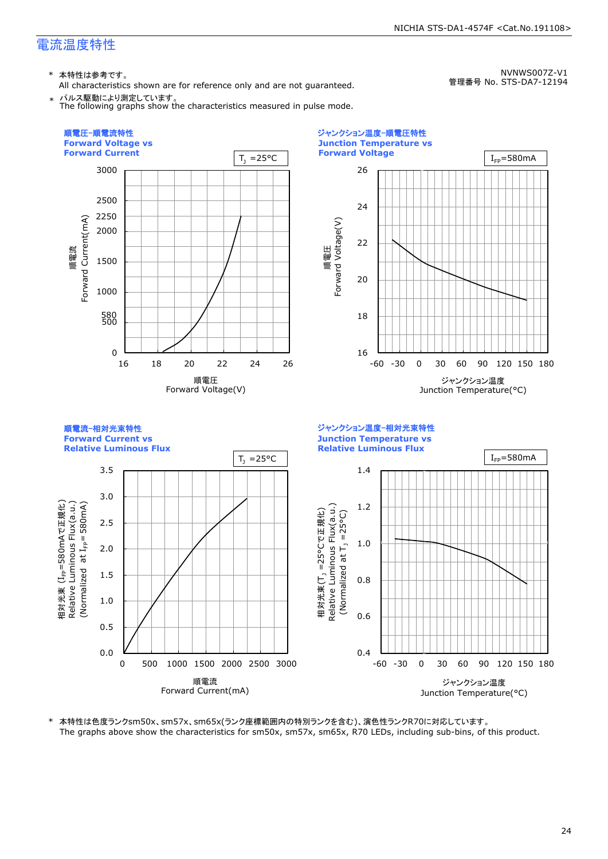\* 本特性は参考です。

All characteristics shown are for reference only and are not guaranteed. \* パルス駆動により測定しています。

The following graphs show the characteristics measured in pulse mode.

NVNWS007Z-V1 管理番号 No. STS-DA7-12194



\* 本特性は色度ランクsm50x、sm57x、sm65x(ランク座標範囲内の特別ランクを含む)、演色性ランクR70に対応しています。 The graphs above show the characteristics for sm50x, sm57x, sm65x, R70 LEDs, including sub-bins, of this product.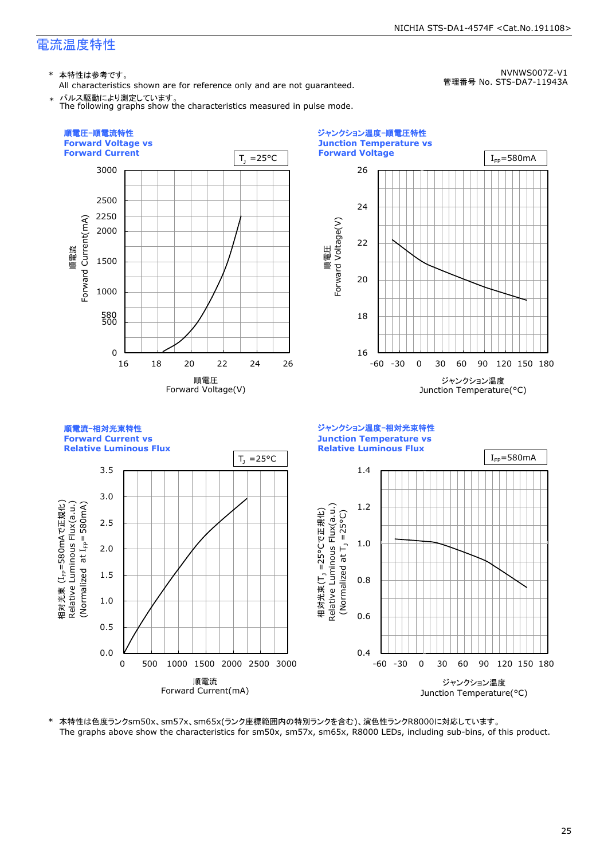\* 本特性は参考です。

All characteristics shown are for reference only and are not guaranteed. \* パルス駆動により測定しています。

The following graphs show the characteristics measured in pulse mode.

NVNWS007Z-V1 管理番号 No. STS-DA7-11943A



\* 本特性は色度ランクsm50x、sm57x、sm65x(ランク座標範囲内の特別ランクを含む)、演色性ランクR8000に対応しています。 The graphs above show the characteristics for sm50x, sm57x, sm65x, R8000 LEDs, including sub-bins, of this product.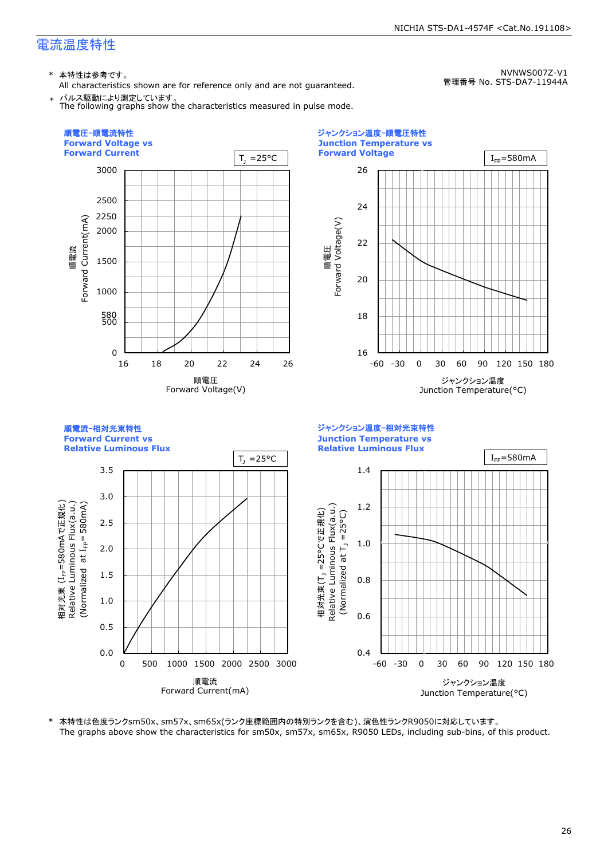\* 本特性は参考です。

All characteristics shown are for reference only and are not guaranteed. \* パルス駆動により測定しています。

NVNWS007Z-V1 管理番号 No. STS-DA7-11944A



\* 本特性は色度ランクsm50x、sm57x、sm65x(ランク座標範囲内の特別ランクを含む)、演色性ランクR9050に対応しています。 The graphs above show the characteristics for sm50x, sm57x, sm65x, R9050 LEDs, including sub-bins, of this product.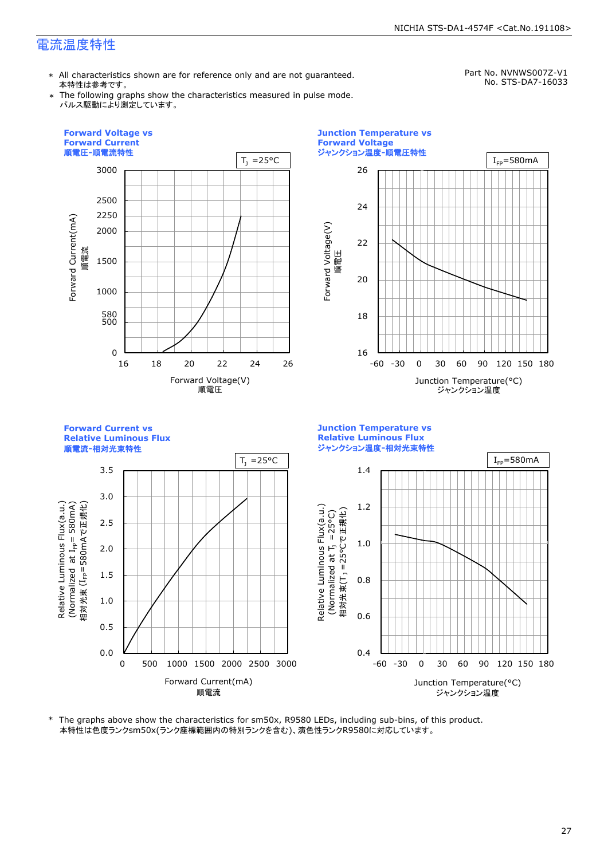\* All characteristics shown are for reference only and are not guaranteed. 本特性は参考です。

Part No. NVNWS007Z-V1 No. STS-DA7-16033

\* The following graphs show the characteristics measured in pulse mode. パルス駆動により測定しています。



The graphs above show the characteristics for sm50x, R9580 LEDs, including sub-bins, of this product. 本特性は色度ランクsm50x(ランク座標範囲内の特別ランクを含む)、演色性ランクR9580に対応しています。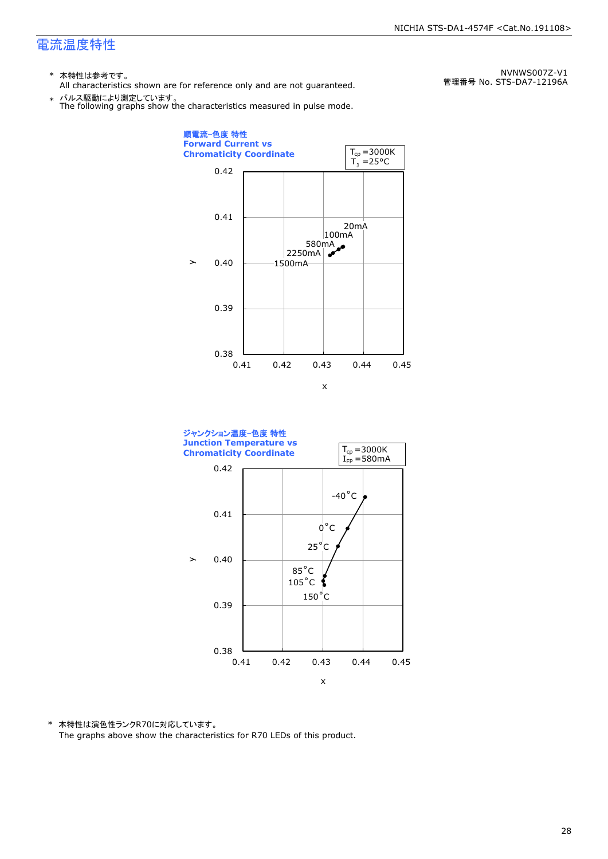- \* 本特性は参考です。
- All characteristics shown are for reference only and are not guaranteed.

\* パルス駆動により測定しています。 The following graphs show the characteristics measured in pulse mode.

順電流-色度 特性 **Forward Current vs**   $T_{cp} = 3000K$ **Chromaticity Coordinate**   $T_1 = 25^{\circ}C$ 0.42 0.41 20mA 100mA 580mA 2250mA **A**  $\geq$ 0.40 1500mA 0.39 0.38 0.41 0.42 0.43 0.44 0.45 x



\* 本特性は演色性ランクR70に対応しています。 The graphs above show the characteristics for R70 LEDs of this product.

NVNWS007Z-V1 管理番号 No. STS-DA7-12196A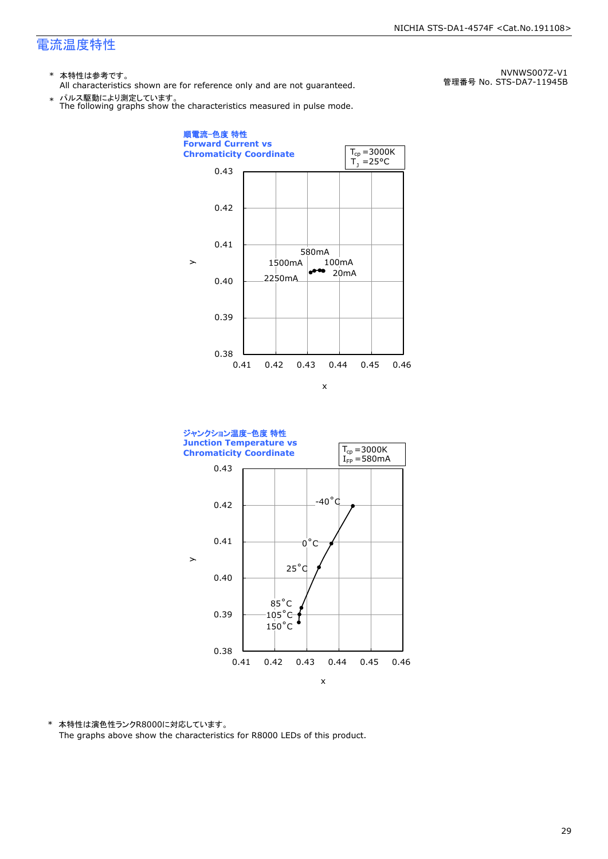- \* 本特性は参考です。
- All characteristics shown are for reference only and are not guaranteed.

\* パルス駆動により測定しています。 The following graphs show the characteristics measured in pulse mode.

0.38 0.39 0.40 0.41 0.42 0.43 0.41 0.42 0.43 0.44 0.45 0.46  $20mA$ 100mA 580mA 1500mA 2250mA 順電流-色度 特性 **Forward Current vs Chromaticity Coordinate**   $\geq$ x  $T_1 = 25^{\circ}C$  $T_{cp} = 3000K$ 



\* 本特性は演色性ランクR8000に対応しています。 The graphs above show the characteristics for R8000 LEDs of this product.

NVNWS007Z-V1 管理番号 No. STS-DA7-11945B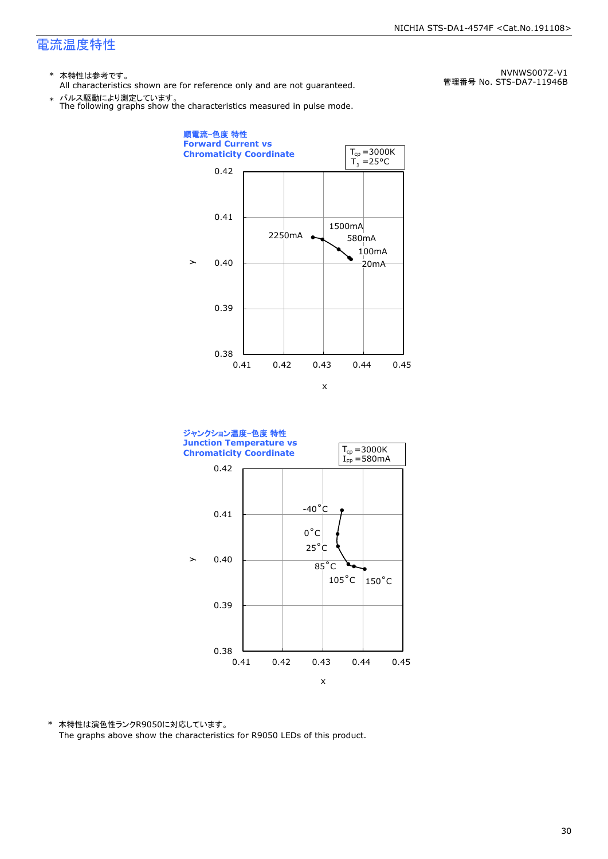- \* 本特性は参考です。
- All characteristics shown are for reference only and are not guaranteed.

\* パルス駆動により測定しています。 The following graphs show the characteristics measured in pulse mode.

順電流-色度 特性 **Forward Current vs**   $T_{cp} = 3000K$ **Chromaticity Coordinate**   $T_1 = 25$ °C 0.42 0.41 1500mA 2250mA  $\epsilon$ 580mA 100mA  $\mathbf{y}$ 0.40 20mA 0.39 0.38 0.41 0.42 0.43 0.44 0.45 x



\* 本特性は演色性ランクR9050に対応しています。 The graphs above show the characteristics for R9050 LEDs of this product.

NVNWS007Z-V1 管理番号 No. STS-DA7-11946B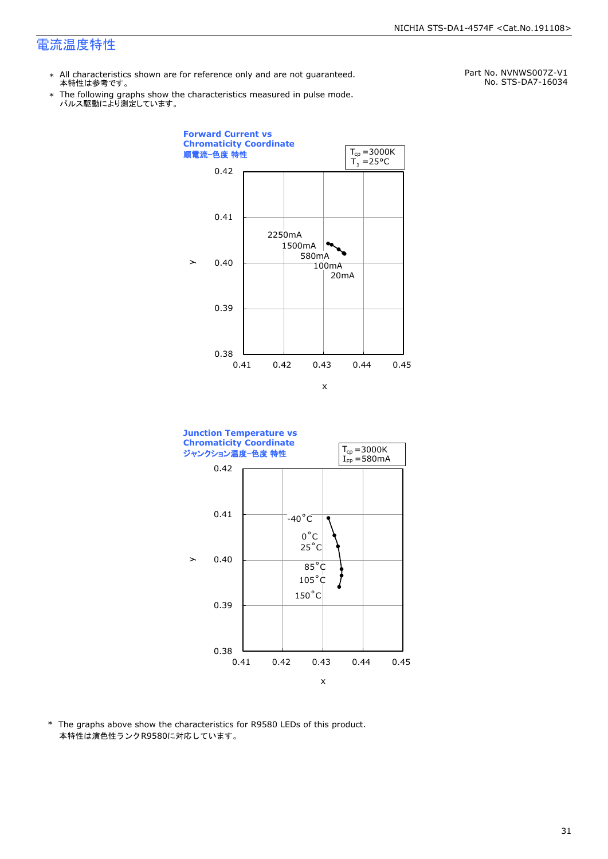- \* All characteristics shown are for reference only and are not guaranteed. 本特性は参考です。
- \* Ine following graphs show tr<br>パルス駆動により測定しています。 The following graphs show the characteristics measured in pulse mode.

Part No. NVNWS007Z-V1 No. STS-DA7-16034





\* The graphs above show the characteristics for R9580 LEDs of this product. 本特性は演色性ランクR9580に対応しています。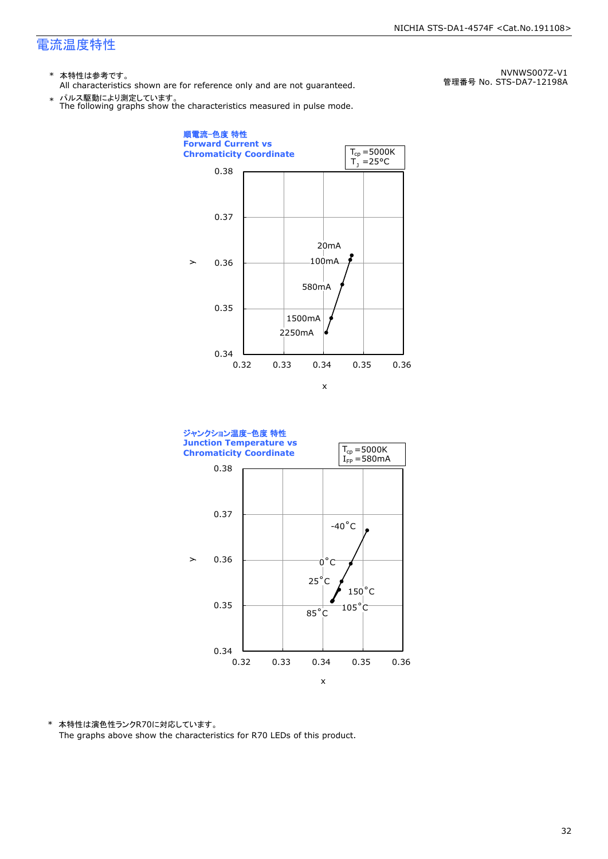- \* 本特性は参考です。
- All characteristics shown are for reference only and are not guaranteed.

\* パルス駆動により測定しています。 The following graphs show the characteristics measured in pulse mode.





\* 本特性は演色性ランクR70に対応しています。 The graphs above show the characteristics for R70 LEDs of this product.

NVNWS007Z-V1 管理番号 No. STS-DA7-12198A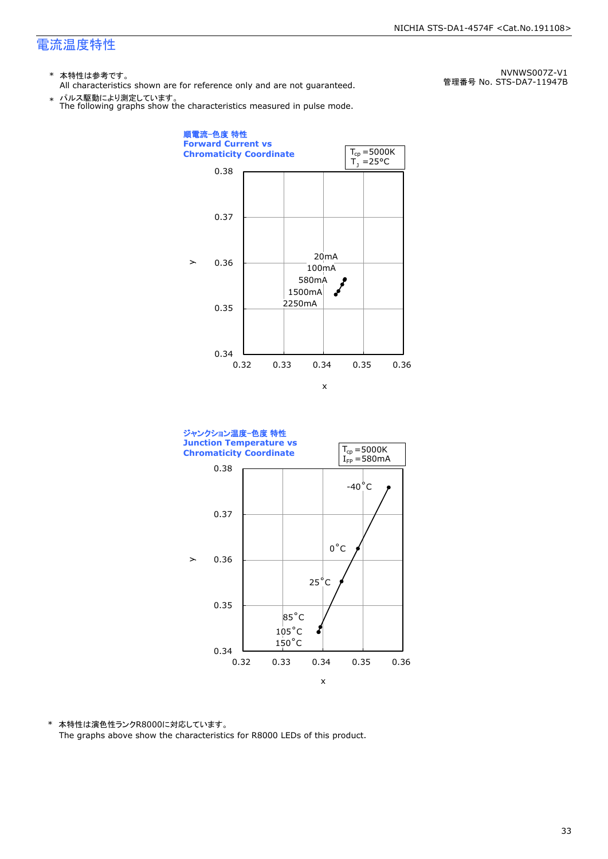- \* 本特性は参考です。
- All characteristics shown are for reference only and are not guaranteed.

\* パルス駆動により測定しています。 The following graphs show the characteristics measured in pulse mode.

順電流-色度 特性 **Forward Current vs**   $T_{cp} = 5000K$ **Chromaticity Coordinate**   $T_1 = 25^{\circ}C$ 0.38 0.37 20mA  $\geq$ 0.36  $100$ mA 580mA فممحم 1500mA 2250mA 0.35 0.34 0.32 0.33 0.34 0.35 0.36 x



\* 本特性は演色性ランクR8000に対応しています。 The graphs above show the characteristics for R8000 LEDs of this product.

NVNWS007Z-V1 管理番号 No. STS-DA7-11947B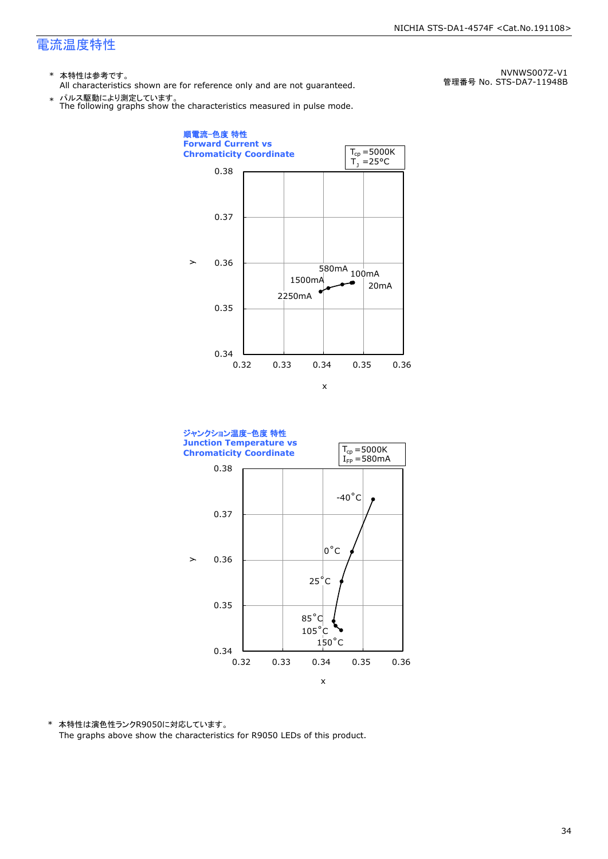- \* 本特性は参考です。
- All characteristics shown are for reference only and are not guaranteed.

\* パルス駆動により測定しています。 The following graphs show the characteristics measured in pulse mode.

0.34 0.35 0.36 0.37 0.38 0.32 0.33 0.34 0.35 0.36 20mA  $\frac{1}{580mA_{100mA}}$ 1500mA 2250mA 順電流-色度 特性 **Forward Current vs Chromaticity Coordinate**   $\geq$ x  $T_1 = 25^{\circ}C$  $T_{cp} = 5000K$ 



\* 本特性は演色性ランクR9050に対応しています。 The graphs above show the characteristics for R9050 LEDs of this product.

NVNWS007Z-V1 管理番号 No. STS-DA7-11948B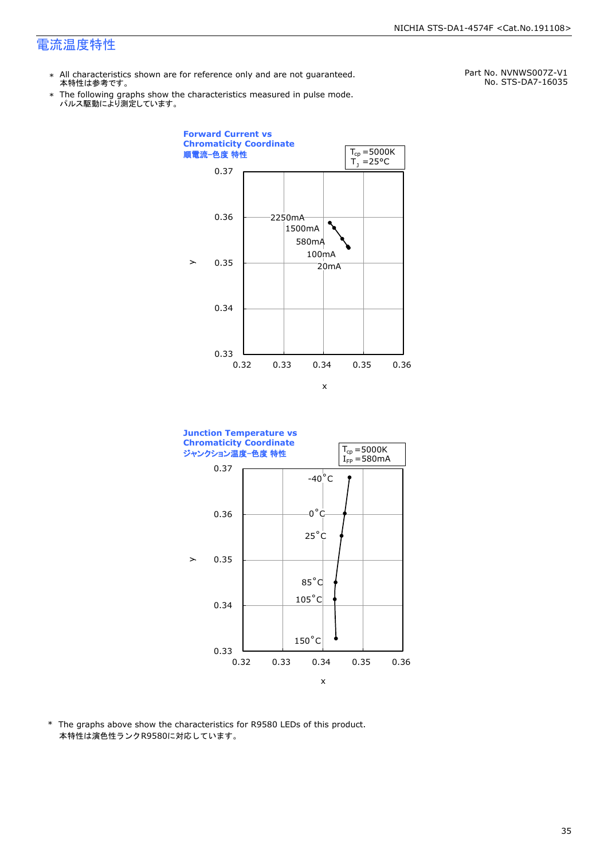- \* All characteristics shown are for reference only and are not guaranteed. 本特性は参考です。
- \* パルス駆動により測定しています。 The following graphs show the characteristics measured in pulse mode.

Part No. NVNWS007Z-V1 No. STS-DA7-16035





\* The graphs above show the characteristics for R9580 LEDs of this product. 本特性は演色性ランクR9580に対応しています。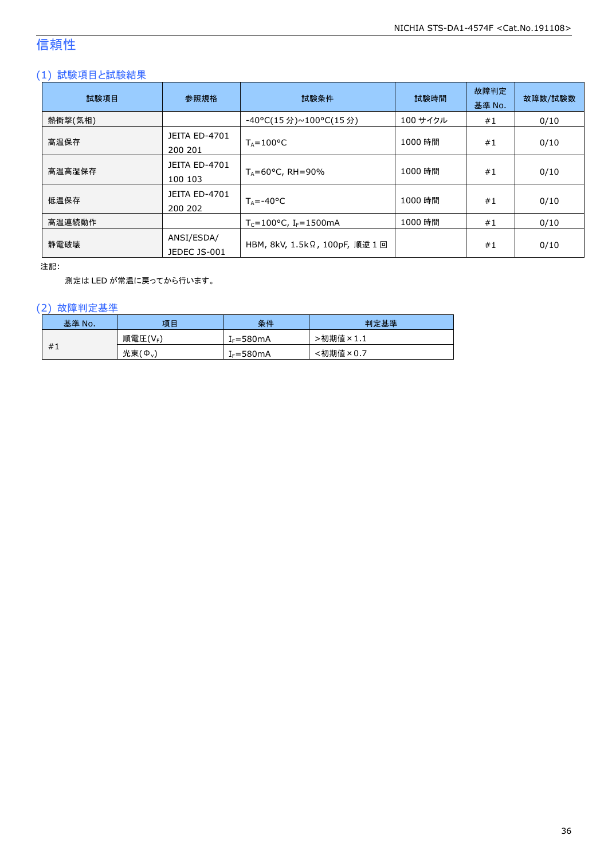## 信頼性

#### (1) 試験項目と試験結果

| 試験項目    | 参照規格                            | 試験条件                                          | 試験時間     | 故障判定<br>基準 No. | 故障数/試験数 |
|---------|---------------------------------|-----------------------------------------------|----------|----------------|---------|
| 熱衝撃(気相) |                                 | -40°C(15 分)~100°C(15 分)                       | 100 サイクル | #1             | 0/10    |
| 高温保存    | <b>JEITA ED-4701</b><br>200 201 | $T_A = 100^{\circ}C$                          | 1000 時間  | #1             | 0/10    |
| 高温高湿保存  | <b>JEITA ED-4701</b><br>100 103 | $T_A = 60^{\circ}$ C, RH = 90%                | 1000 時間  | #1             | 0/10    |
| 低温保存    | JEITA ED-4701<br>200 202        | $T_{\text{A}} = -40^{\circ}C$                 | 1000 時間  | #1             | 0/10    |
| 高温連続動作  |                                 | $T_c = 100^{\circ}$ C, I <sub>F</sub> =1500mA | 1000 時間  | #1             | 0/10    |
| 静電破壊    | ANSI/ESDA/<br>JEDEC JS-001      | HBM, 8kV, 1.5kΩ, 100pF, 順逆 1回                 |          | #1             | 0/10    |

注記:

測定は LED が常温に戻ってから行います。

#### (2) 故障判定基準

| 基準 No. | 項目                  | 条件            | 判定基準          |
|--------|---------------------|---------------|---------------|
|        | 順電圧(VF)             | $I_F = 580mA$ | ·初期値<br>प×1.⊥ |
| #1     | 光束(Ф <sub>v</sub> ) | $I_F = 580mA$ | <初期値×0.7      |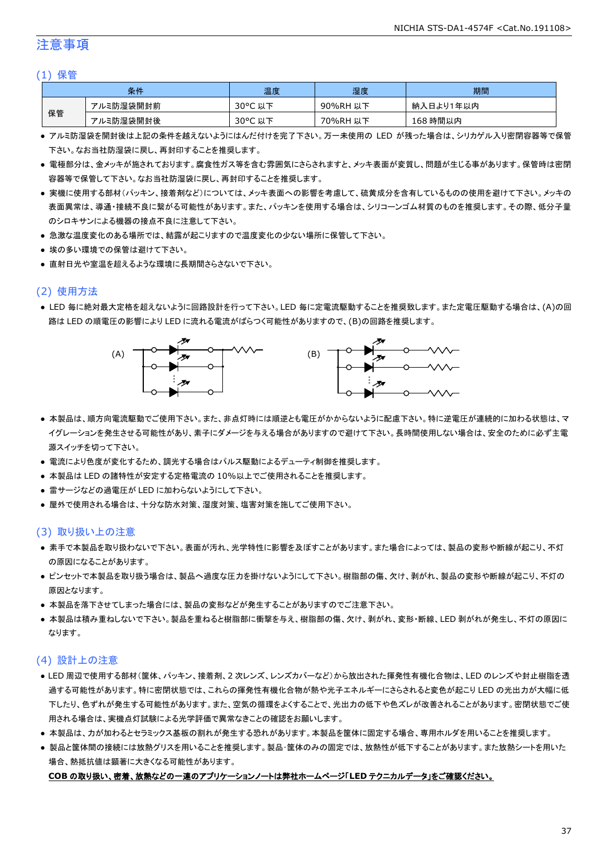#### 注意事項

#### (1) 保管

|    | 条件        | 温度                    | 湿度       | 期間        |
|----|-----------|-----------------------|----------|-----------|
|    | アルミ防湿袋開封前 | $30^{\circ}$ C<br>,以下 | 90%RH 以下 | 納入日より1年以内 |
| 保管 | アルミ防湿袋開封後 | 30°C 以下               | 70%RH 以下 | 168 時間以内  |

- アルミ防湿袋を開封後は上記の条件を越えないようにはんだ付けを完了下さい。万一未使用の LED が残った場合は、シリカゲル入り密閉容器等で保管 下さい。なお当社防湿袋に戻し、再封印することを推奨します。
- 電極部分は、金メッキが施されております。腐食性ガス等を含む雰囲気にさらされますと、メッキ表面が変質し、問題が生じる事があります。保管時は密閉 容器等で保管して下さい。なお当社防湿袋に戻し、再封印することを推奨します。
- 実機に使用する部材(パッキン、接着剤など)については、メッキ表面への影響を考慮して、硫黄成分を含有しているものの使用を避けて下さい。メッキの 表面異常は、導通・接続不良に繋がる可能性があります。また、パッキンを使用する場合は、シリコーンゴム材質のものを推奨します。その際、低分子量 のシロキサンによる機器の接点不良に注意して下さい。
- 急激な温度変化のある場所では、結露が起こりますので温度変化の少ない場所に保管して下さい。
- 埃の多い環境での保管は避けて下さい。
- 直射日光や室温を超えるような環境に長期間さらさないで下さい。

#### (2) 使用方法

● LED 毎に絶対最大定格を超えないように回路設計を行って下さい。LED 毎に定電流駆動することを推奨致します。また定電圧駆動する場合は、(A)の回 路は LED の順電圧の影響により LED に流れる電流がばらつく可能性がありますので、(B)の回路を推奨します。



- 本製品は、順方向電流駆動でご使用下さい。また、非点灯時には順逆とも電圧がかからないように配慮下さい。特に逆電圧が連続的に加わる状態は、マ イグレーションを発生させる可能性があり、素子にダメージを与える場合がありますので避けて下さい。長時間使用しない場合は、安全のために必ず主電 源スイッチを切って下さい。
- 電流により色度が変化するため、調光する場合はパルス駆動によるデューティ制御を推奨します。
- 本製品は LED の諸特性が安定する定格電流の 10%以上でご使用されることを推奨します。
- 雷サージなどの過電圧が LED に加わらないようにして下さい。
- 屋外で使用される場合は、十分な防水対策、湿度対策、塩害対策を施してご使用下さい。

#### (3) 取り扱い上の注意

- 素手で本製品を取り扱わないで下さい。表面が汚れ、光学特性に影響を及ぼすことがあります。また場合によっては、製品の変形や断線が起こり、不灯 の原因になることがあります。
- ピンセットで本製品を取り扱う場合は、製品へ過度な圧力を掛けないようにして下さい。樹脂部の傷、欠け、剥がれ、製品の変形や断線が起こり、不灯の 原因となります。
- 本製品を落下させてしまった場合には、製品の変形などが発生することがありますのでご注意下さい。
- 本製品は積み重ねしないで下さい。製品を重ねると樹脂部に衝撃を与え、樹脂部の傷、欠け、剥がれ、変形・断線、LED 剥がれが発生し、不灯の原因に なります。

#### (4) 設計上の注意

- LED 周辺で使用する部材(筐体、パッキン、接着剤、2 次レンズ、レンズカバーなど)から放出された揮発性有機化合物は、LED のレンズや封止樹脂を透 過する可能性があります。特に密閉状態では、これらの揮発性有機化合物が熱や光子エネルギーにさらされると変色が起こり LED の光出力が大幅に低 下したり、色ずれが発生する可能性があります。また、空気の循環をよくすることで、光出力の低下や色ズレが改善されることがあります。密閉状態でご使 用される場合は、実機点灯試験による光学評価で異常なきことの確認をお願いします。
- 本製品は、力が加わるとセラミックス基板の割れが発生する恐れがあります。本製品を筐体に固定する場合、専用ホルダを用いることを推奨します。
- 製品と筐体間の接続には放熱グリスを用いることを推奨します。製品・筐体のみの固定では、放熱性が低下することがあります。また放熱シートを用いた 場合、熱抵抗値は顕著に大きくなる可能性があります。

#### **COB** の取り扱い、密着、放熱などの一連のアプリケーションノートは弊社ホームページ「**LED** テクニカルデータ」をご確認ください。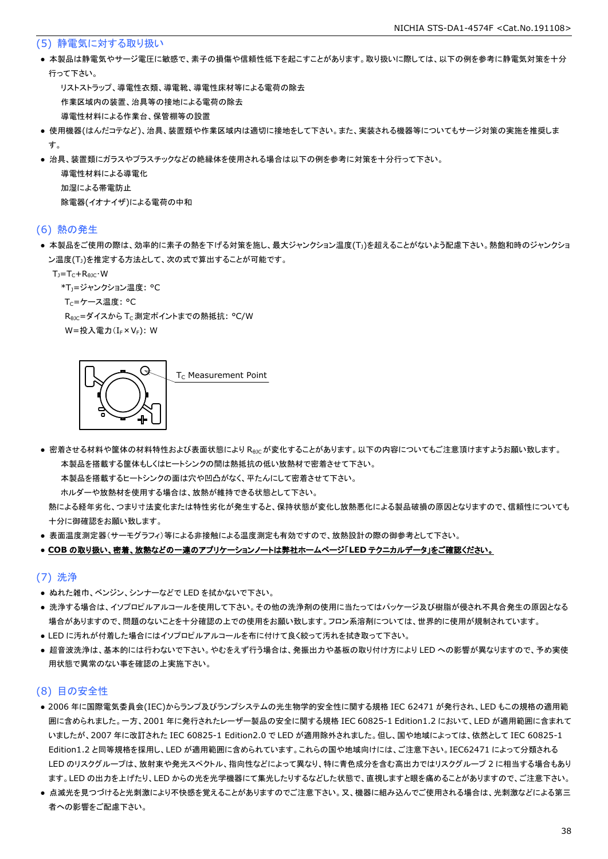#### (5) 静電気に対する取り扱い

● 本製品は静電気やサージ電圧に敏感で、素子の損傷や信頼性低下を起こすことがあります。取り扱いに際しては、以下の例を参考に静電気対策を十分 行って下さい。

 リストストラップ、導電性衣類、導電靴、導電性床材等による電荷の除去 作業区域内の装置、治具等の接地による電荷の除去 導電性材料による作業台、保管棚等の設置

- 使用機器(はんだコテなど)、治具、装置類や作業区域内は適切に接地をして下さい。また、実装される機器等についてもサージ対策の実施を推奨しま す。
- 治具、装置類にガラスやプラスチックなどの絶縁体を使用される場合は以下の例を参考に対策を十分行って下さい。

 導電性材料による導電化 加湿による帯電防止 除電器(イオナイザ)による電荷の中和

#### (6) 熱の発生

● 本製品をご使用の際は、効率的に素子の熱を下げる対策を施し、最大ジャンクション温度(T<sub>J</sub>)を超えることがないよう配慮下さい。熱飽和時のジャンクショ ン温度(T<sub>J</sub>)を推定する方法として、次の式で算出することが可能です。

 $T_1 = T_C + R_{BIC} \cdot W$ 

\*T<sub>1</sub>=ジャンクション温度: °C

T<sub>C</sub>=ケース温度: °C

R<sub>0JC</sub>=ダイスから T<sub>C</sub> 測定ポイントまでの熱抵抗: °C/W

W=投入電力(I<sub>F</sub>×V<sub>F</sub>): W

G T<sub>c</sub> Measurement Point

● 密着させる材料や筐体の材料特性および表面状態により R<sub>θIC</sub>が変化することがあります。以下の内容についてもご注意頂けますようお願い致します。 本製品を搭載する筐体もしくはヒートシンクの間は熱抵抗の低い放熱材で密着させて下さい。

本製品を搭載するヒートシンクの面は穴や凹凸がなく、平たんにして密着させて下さい。

ホルダーや放熱材を使用する場合は、放熱が維持できる状態として下さい。

 熱による経年劣化、つまり寸法変化または特性劣化が発生すると、保持状態が変化し放熱悪化による製品破損の原因となりますので、信頼性についても 十分に御確認をお願い致します。

● 表面温度測定器(サーモグラフィ)等による非接触による温度測定も有効ですので、放熱設計の際の御参考として下さい。

#### ● **COB** の取り扱い、密着、放熱などの一連のアプリケーションノートは弊社ホームページ「**LED** テクニカルデータ」をご確認ください。

#### (7) 洗浄

- ぬれた雑巾、ベンジン、シンナーなどで LED を拭かないで下さい。
- 洗浄する場合は、イソプロピルアルコールを使用して下さい。その他の洗浄剤の使用に当たってはパッケージ及び樹脂が侵され不具合発生の原因となる 場合がありますので、問題のないことを十分確認の上での使用をお願い致します。フロン系溶剤については、世界的に使用が規制されています。
- LED に汚れが付着した場合にはイソプロピルアルコールを布に付けて良く絞って汚れを拭き取って下さい。
- 超音波洗浄は、基本的には行わないで下さい。やむをえず行う場合は、発振出力や基板の取り付け方により LED への影響が異なりますので、予め実使 用状態で異常のない事を確認の上実施下さい。

#### (8) 目の安全性

- 2006 年に国際電気委員会(IEC)からランプ及びランプシステムの光生物学的安全性に関する規格 IEC 62471 が発行され、LED もこの規格の適用範 囲に含められました。一方、2001 年に発行されたレーザー製品の安全に関する規格 IEC 60825-1 Edition1.2 において、LED が適用範囲に含まれて いましたが、2007 年に改訂された IEC 60825-1 Edition2.0 で LED が適用除外されました。但し、国や地域によっては、依然として IEC 60825-1 Edition1.2 と同等規格を採用し、LED が適用範囲に含められています。これらの国や地域向けには、ご注意下さい。IEC62471 によって分類される LED のリスクグループは、放射束や発光スペクトル、指向性などによって異なり、特に青色成分を含む高出力ではリスクグループ 2 に相当する場合もあり ます。LED の出力を上げたり、LED からの光を光学機器にて集光したりするなどした状態で、直視しますと眼を痛めることがありますので、ご注意下さい。
- 点滅光を見つづけると光刺激により不快感を覚えることがありますのでご注意下さい。又、機器に組み込んでご使用される場合は、光刺激などによる第三 者への影響をご配慮下さい。